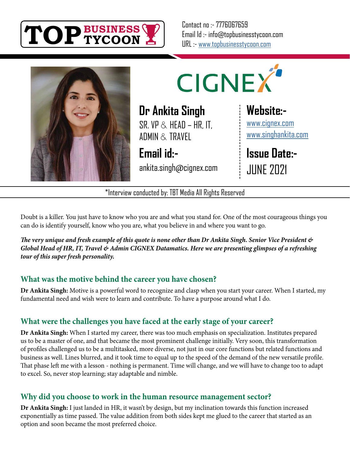

Contact no :- 7776067659 Email Id :- info@topbusinesstycoon.com URL :- [www.topbusinesstycoon.com](https://www.topbusinesstycoon.com/)





**Dr Ankita Singh**  $SR$  VP  $\&$  HFAD – HR, IT, ADMIN & TRAVEL

**Email id:** ankita.singh@cignex.com

# **Website:-**

[www.cignex.com](https://www.cignex.com/) [www.singhankita.com](https://www.singhankita.com/)

**Issue Date:-** JUNE 2021

\*Interview conducted by: TBT Media All Rights Reserved

Doubt is a killer. You just have to know who you are and what you stand for. One of the most courageous things you can do is identify yourself, know who you are, what you believe in and where you want to go.

*The very unique and fresh example of this quote is none other than Dr Ankita Singh. Senior Vice President & Global Head of HR, IT, Travel & Admin CIGNEX Datamatics. Here we are presenting glimpses of a refreshing tour of this super fresh personality.*

#### **What was the motive behind the career you have chosen?**

**Dr Ankita Singh:** Motive is a powerful word to recognize and clasp when you start your career. When I started, my fundamental need and wish were to learn and contribute. To have a purpose around what I do.

# **What were the challenges you have faced at the early stage of your career?**

**Dr Ankita Singh:** When I started my career, there was too much emphasis on specialization. Institutes prepared us to be a master of one, and that became the most prominent challenge initially. Very soon, this transformation of profiles challenged us to be a multitasked, more diverse, not just in our core functions but related functions and business as well. Lines blurred, and it took time to equal up to the speed of the demand of the new versatile profile. That phase left me with a lesson - nothing is permanent. Time will change, and we will have to change too to adapt to excel. So, never stop learning; stay adaptable and nimble.

#### **Why did you choose to work in the human resource management sector?**

**Dr Ankita Singh:** I just landed in HR, it wasn't by design, but my inclination towards this function increased exponentially as time passed. The value addition from both sides kept me glued to the career that started as an option and soon became the most preferred choice.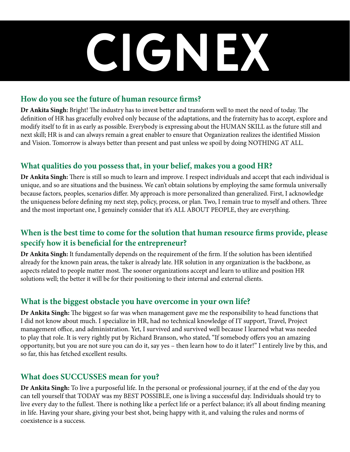# **CIGNEX**

#### **How do you see the future of human resource firms?**

**Dr Ankita Singh:** Bright! The industry has to invest better and transform well to meet the need of today. The definition of HR has gracefully evolved only because of the adaptations, and the fraternity has to accept, explore and modify itself to fit in as early as possible. Everybody is expressing about the HUMAN SKILL as the future still and next skill; HR is and can always remain a great enabler to ensure that Organization realizes the identified Mission and Vision. Tomorrow is always better than present and past unless we spoil by doing NOTHING AT ALL.

#### **What qualities do you possess that, in your belief, makes you a good HR?**

**Dr Ankita Singh:** There is still so much to learn and improve. I respect individuals and accept that each individual is unique, and so are situations and the business. We can't obtain solutions by employing the same formula universally because factors, peoples, scenarios differ. My approach is more personalized than generalized. First, I acknowledge the uniqueness before defining my next step, policy, process, or plan. Two, I remain true to myself and others. Three and the most important one, I genuinely consider that it's ALL ABOUT PEOPLE, they are everything.

#### **When is the best time to come for the solution that human resource firms provide, please specify how it is beneficial for the entrepreneur?**

**Dr Ankita Singh:** It fundamentally depends on the requirement of the firm. If the solution has been identified already for the known pain areas, the taker is already late. HR solution in any organization is the backbone, as aspects related to people matter most. The sooner organizations accept and learn to utilize and position HR solutions well; the better it will be for their positioning to their internal and external clients.

#### **What is the biggest obstacle you have overcome in your own life?**

**Dr Ankita Singh:** The biggest so far was when management gave me the responsibility to head functions that I did not know about much. I specialize in HR, had no technical knowledge of IT support, Travel, Project management office, and administration. Yet, I survived and survived well because I learned what was needed to play that role. It is very rightly put by Richard Branson, who stated, "If somebody offers you an amazing opportunity, but you are not sure you can do it, say yes – then learn how to do it later!" I entirely live by this, and so far, this has fetched excellent results.

#### **What does SUCCUSSES mean for you?**

**Dr Ankita Singh:** To live a purposeful life. In the personal or professional journey, if at the end of the day you can tell yourself that TODAY was my BEST POSSIBLE, one is living a successful day. Individuals should try to live every day to the fullest. There is nothing like a perfect life or a perfect balance; it's all about finding meaning in life. Having your share, giving your best shot, being happy with it, and valuing the rules and norms of coexistence is a success.